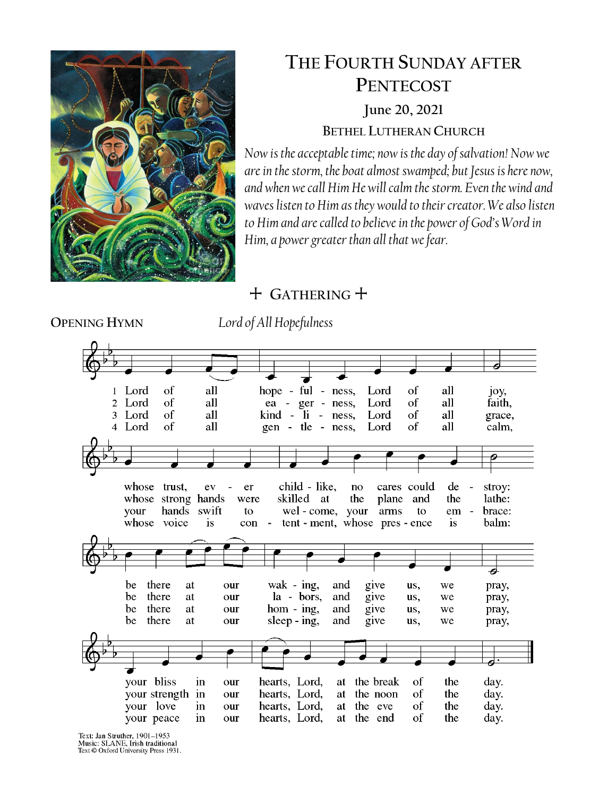

# **THE FOURTH SUNDAY AFTER PENTECOST**

**June 20, 2021 BETHEL LUTHERAN CHURCH**

*Now is the acceptable time; now is the day of salvation! Now we are in the storm, the boat almost swamped; but Jesus is here now, and when we call Him He will calm the storm. Even the wind and waves listen to Him as they would to their creator. We also listen to Him and are called to believe in the power of God's Word in Him, a power greater than all that we fear.*

# + **GATHERING** +

#### hope - ful - ness, 1 Lord of all of Lord all joy, ea - ger - ness,<br>kind - li - ness, of 2 Lord all Lord of all faith, 3 Lord of all Lord of all grace, 4 Lord all calm, of gen - tle - ness, Lord of all whose trust, child - like, cares could de stroy: ev  $er$ no lathe: whose strong hands skilled at were the plane and the wel - come, your hands swift em brace: your to arms to balm: whose voice is con  $\sim$ tent - ment, whose pres - ence is  $\overline{\boldsymbol{d}}$ there wak - ing, be at our and give us, we pray, there be la - bors, and at our give us, we pray, be there hom  $-$  ing, and give at our pray, us, we there be sleep - ing, at our and give us. we pray, your bliss hearts. Lord. at the break the in our of dav. your strength in our hearts, Lord, the noon of the day. at hearts, Lord, of the day. your love in our at the eve hearts, Lord, your peace in our at the end of the day.

Text: Jan Struther, 1901-1953 Music: SLANE, Irish traditional Text © Oxford University Press 1931.

**OPENING HYMN** *Lord of All Hopefulness*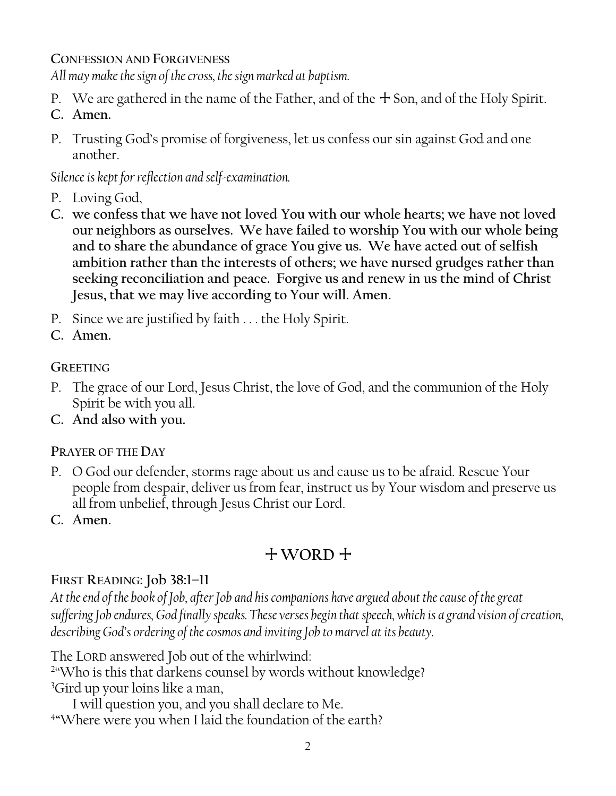**CONFESSION AND FORGIVENESS**

*All may make the sign of the cross, the sign marked at baptism.*

- P. We are gathered in the name of the Father, and of the  $+$  Son, and of the Holy Spirit.
- **C. Amen.**
- P. Trusting God's promise of forgiveness, let us confess our sin against God and one another.

*Silence is kept for reflection and self-examination.*

- P. Loving God,
- **C. we confess that we have not loved You with our whole hearts; we have not loved our neighbors as ourselves. We have failed to worship You with our whole being and to share the abundance of grace You give us. We have acted out of selfish ambition rather than the interests of others; we have nursed grudges rather than seeking reconciliation and peace. Forgive us and renew in us the mind of Christ Jesus, that we may live according to Your will. Amen.**
- P. Since we are justified by faith . . . the Holy Spirit.
- **C. Amen.**

# **GREETING**

- P. The grace of our Lord, Jesus Christ, the love of God, and the communion of the Holy Spirit be with you all.
- **C. And also with you.**

# **PRAYER OF THE DAY**

- P. O God our defender, storms rage about us and cause us to be afraid. Rescue Your people from despair, deliver us from fear, instruct us by Your wisdom and preserve us all from unbelief, through Jesus Christ our Lord.
- **C. Amen.**

# $+$ WORD $+$

# **FIRST READING: Job 38:1–11**

*At the end of the book of Job, after Job and his companions have argued about the cause of the great suffering Job endures, God finally speaks. These verses begin that speech, which is a grand vision of creation, describing God's ordering of the cosmos and inviting Job to marvel at its beauty.* 

The LORD answered Job out of the whirlwind: 2 "Who is this that darkens counsel by words without knowledge? <sup>3</sup>Gird up your loins like a man,

I will question you, and you shall declare to Me. 4 "Where were you when I laid the foundation of the earth?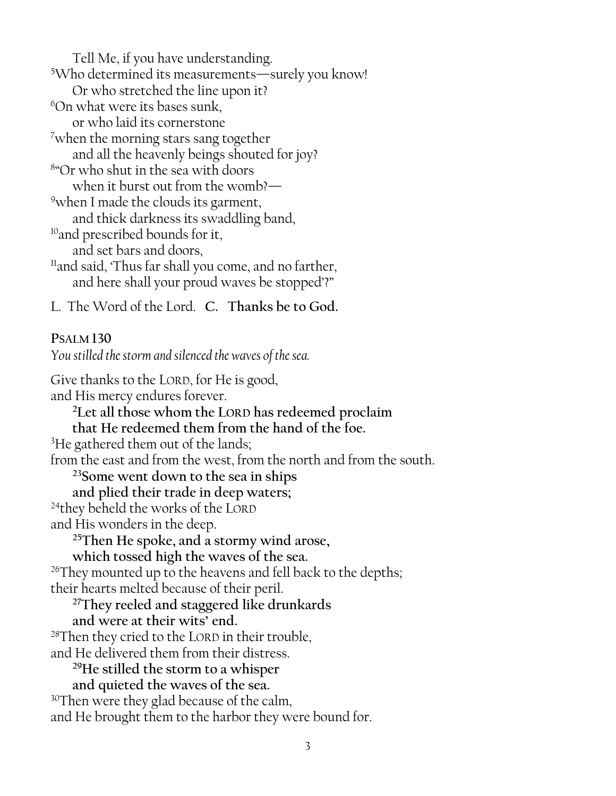Tell Me, if you have understanding. <sup>5</sup>Who determined its measurements—surely you know! Or who stretched the line upon it? <sup>6</sup>On what were its bases sunk, or who laid its cornerstone <sup>7</sup>when the morning stars sang together and all the heavenly beings shouted for joy? 8 "Or who shut in the sea with doors when it burst out from the womb?— <sup>9</sup>when I made the clouds its garment, and thick darkness its swaddling band,  $10$ and prescribed bounds for it, and set bars and doors, <sup>11</sup>and said, 'Thus far shall you come, and no farther, and here shall your proud waves be stopped'?"

L. The Word of the Lord. **C. Thanks be to God.**

#### **PSALM 130**

*You stilled the storm and silenced the waves of the sea.*

Give thanks to the LORD, for He is good, and His mercy endures forever. **<sup>2</sup>Let all those whom the LORD has redeemed proclaim that He redeemed them from the hand of the foe.**  <sup>3</sup>He gathered them out of the lands; from the east and from the west, from the north and from the south. **<sup>23</sup>Some went down to the sea in ships and plied their trade in deep waters;** <sup>24</sup>they beheld the works of the LORD and His wonders in the deep. **<sup>25</sup>Then He spoke, and a stormy wind arose, which tossed high the waves of the sea.** <sup>26</sup>They mounted up to the heavens and fell back to the depths; their hearts melted because of their peril. **<sup>27</sup>They reeled and staggered like drunkards and were at their wits' end.** <sup>28</sup>Then they cried to the LORD in their trouble, and He delivered them from their distress. **<sup>29</sup>He stilled the storm to a whisper and quieted the waves of the sea.**   $30$ Then were they glad because of the calm, and He brought them to the harbor they were bound for.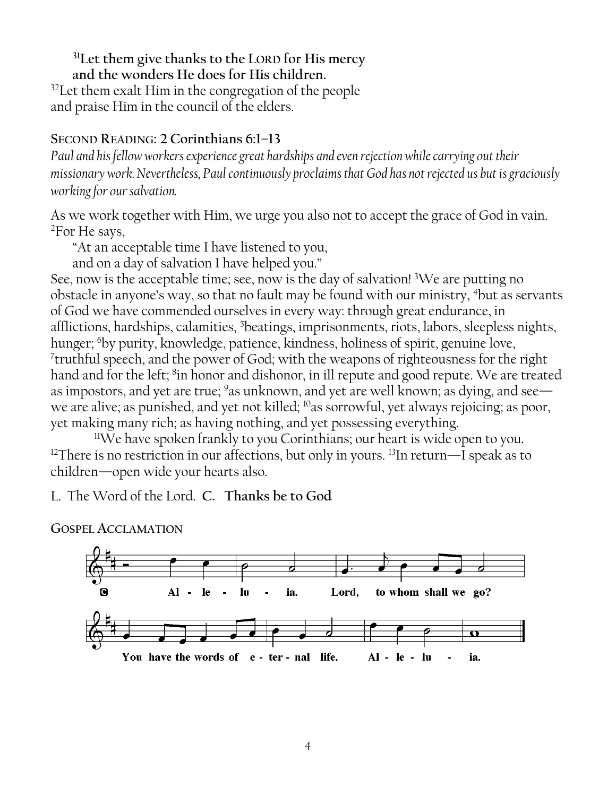# **<sup>31</sup>Let them give thanks to the LORD for His mercy and the wonders He does for His children.**

<sup>32</sup>Let them exalt Him in the congregation of the people and praise Him in the council of the elders.

## **SECOND READING: 2 Corinthians 6:1–13**

*Paul and his fellow workers experience great hardships and even rejection while carrying out their missionary work. Nevertheless, Paul continuously proclaims that God has not rejected us but is graciously working for our salvation.*

As we work together with Him, we urge you also not to accept the grace of God in vain. <sup>2</sup>For He says,

"At an acceptable time I have listened to you,

and on a day of salvation I have helped you."

See, now is the acceptable time; see, now is the day of salvation! <sup>3</sup>We are putting no obstacle in anyone's way, so that no fault may be found with our ministry, <sup>4</sup>but as servants of God we have commended ourselves in every way: through great endurance, in afflictions, hardships, calamities, <sup>5</sup>beatings, imprisonments, riots, labors, sleepless nights, hunger; <sup>6</sup>by purity, knowledge, patience, kindness, holiness of spirit, genuine love, 7 truthful speech, and the power of God; with the weapons of righteousness for the right hand and for the left; <sup>8</sup>in honor and dishonor, in ill repute and good repute. We are treated as impostors, and yet are true; <sup>9</sup>as unknown, and yet are well known; as dying, and see we are alive; as punished, and yet not killed; <sup>10</sup>as sorrowful, yet always rejoicing; as poor, yet making many rich; as having nothing, and yet possessing everything.

<sup>11</sup>We have spoken frankly to you Corinthians; our heart is wide open to you. <sup>12</sup>There is no restriction in our affections, but only in yours. <sup>13</sup>In return—I speak as to children—open wide your hearts also.

L. The Word of the Lord. **C. Thanks be to God**



**GOSPEL ACCLAMATION**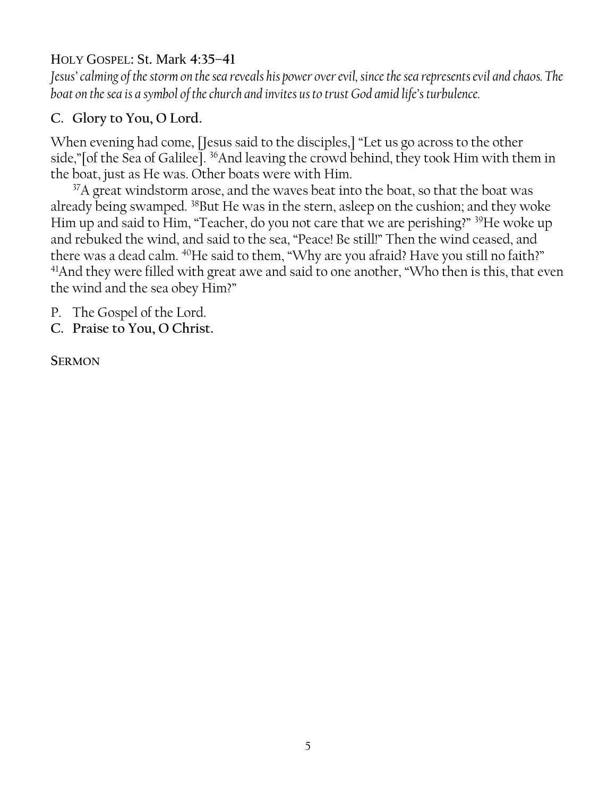# HOLY GOSPEL: St. Mark **4:35–41**

*Jesus' calming of the storm on the sea reveals his power over evil, since the sea represents evil and chaos. The boat on the sea is a symbol of the church and invites us to trust God amid life's turbulence.*

# **C. Glory to You, O Lord.**

When evening had come, [Jesus said to the disciples,] "Let us go across to the other side," [of the Sea of Galilee]. <sup>36</sup>And leaving the crowd behind, they took Him with them in the boat, just as He was. Other boats were with Him.

 $37A$  great windstorm arose, and the waves beat into the boat, so that the boat was already being swamped. <sup>38</sup>But He was in the stern, asleep on the cushion; and they woke Him up and said to Him, "Teacher, do you not care that we are perishing?" <sup>39</sup>He woke up and rebuked the wind, and said to the sea, "Peace! Be still!" Then the wind ceased, and there was a dead calm. <sup>40</sup>He said to them, "Why are you afraid? Have you still no faith?" <sup>41</sup>And they were filled with great awe and said to one another, "Who then is this, that even the wind and the sea obey Him?"

P. The Gospel of the Lord.

**C. Praise to You, O Christ.**

**SERMON**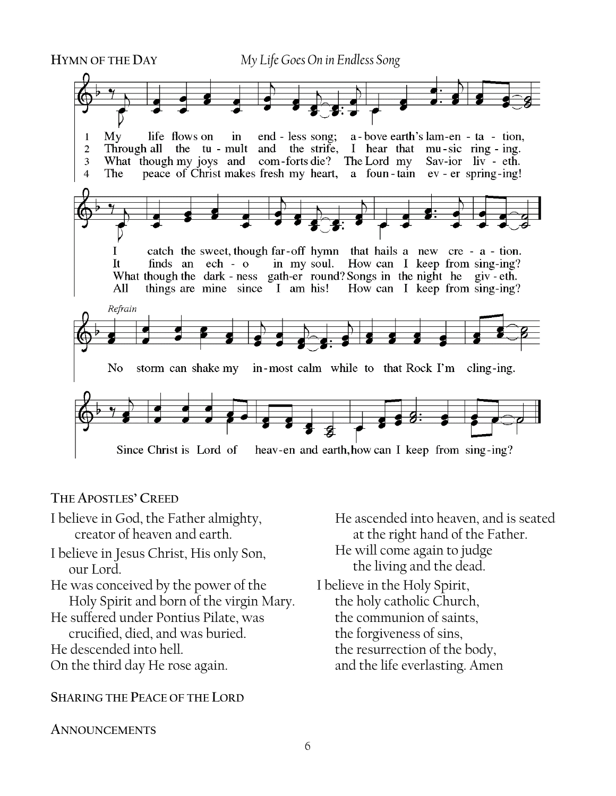

### **THE APOSTLES' CREED**

- I believe in God, the Father almighty, creator of heaven and earth.
- I believe in Jesus Christ, His only Son, our Lord.
- He was conceived by the power of the Holy Spirit and born of the virgin Mary.
- He suffered under Pontius Pilate, was
- crucified, died, and was buried.
- He descended into hell.
- On the third day He rose again.

### **SHARING THE PEACE OF THE LORD**

He ascended into heaven, and is seated at the right hand of the Father. He will come again to judge the living and the dead.

I believe in the Holy Spirit, the holy catholic Church, the communion of saints, the forgiveness of sins, the resurrection of the body, and the life everlasting. Amen

### **ANNOUNCEMENTS**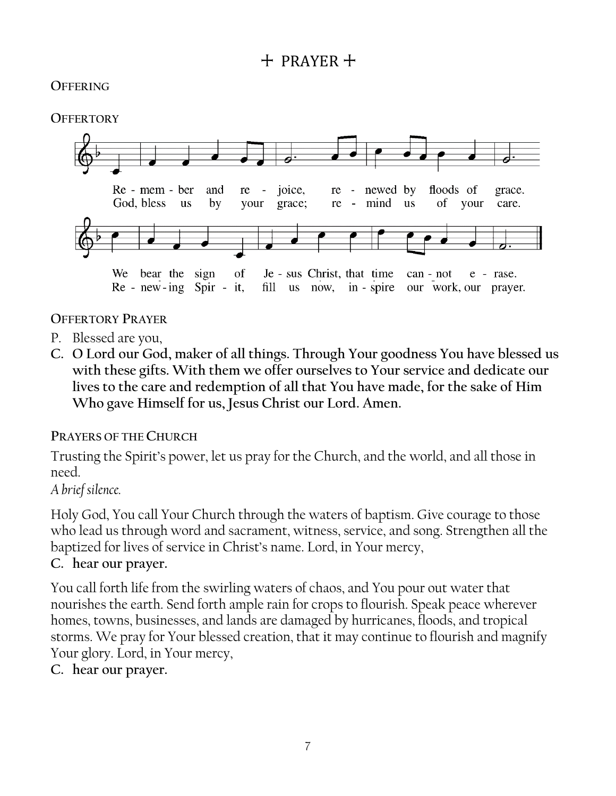# $+$  PRAYER  $+$

## **OFFERING**

#### **OFFERTORY**



#### **OFFERTORY PRAYER**

- P. Blessed are you,
- **C. O Lord our God, maker of all things. Through Your goodness You have blessed us with these gifts. With them we offer ourselves to Your service and dedicate our lives to the care and redemption of all that You have made, for the sake of Him Who gave Himself for us, Jesus Christ our Lord. Amen.**

### **PRAYERS OF THE CHURCH**

Trusting the Spirit's power, let us pray for the Church, and the world, and all those in need.

### *A brief silence.*

Holy God, You call Your Church through the waters of baptism. Give courage to those who lead us through word and sacrament, witness, service, and song. Strengthen all the baptized for lives of service in Christ's name. Lord, in Your mercy,

### **C. hear our prayer.**

You call forth life from the swirling waters of chaos, and You pour out water that nourishes the earth. Send forth ample rain for crops to flourish. Speak peace wherever homes, towns, businesses, and lands are damaged by hurricanes, floods, and tropical storms. We pray for Your blessed creation, that it may continue to flourish and magnify Your glory. Lord, in Your mercy,

### **C. hear our prayer.**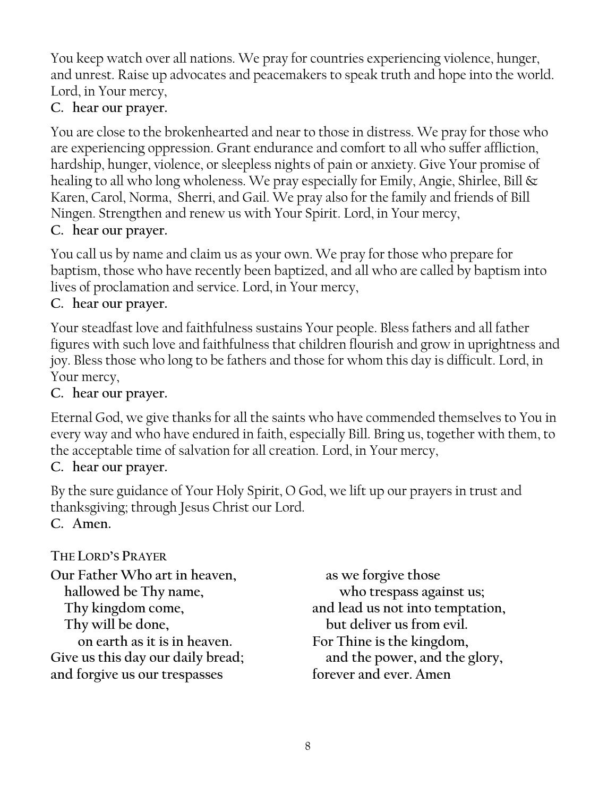You keep watch over all nations. We pray for countries experiencing violence, hunger, and unrest. Raise up advocates and peacemakers to speak truth and hope into the world. Lord, in Your mercy,

# **C. hear our prayer.**

You are close to the brokenhearted and near to those in distress. We pray for those who are experiencing oppression. Grant endurance and comfort to all who suffer affliction, hardship, hunger, violence, or sleepless nights of pain or anxiety. Give Your promise of healing to all who long wholeness. We pray especially for Emily, Angie, Shirlee, Bill & Karen, Carol, Norma, Sherri, and Gail. We pray also for the family and friends of Bill Ningen. Strengthen and renew us with Your Spirit. Lord, in Your mercy,

# **C. hear our prayer.**

You call us by name and claim us as your own. We pray for those who prepare for baptism, those who have recently been baptized, and all who are called by baptism into lives of proclamation and service. Lord, in Your mercy,

## **C. hear our prayer.**

Your steadfast love and faithfulness sustains Your people. Bless fathers and all father figures with such love and faithfulness that children flourish and grow in uprightness and joy. Bless those who long to be fathers and those for whom this day is difficult. Lord, in Your mercy,

## **C. hear our prayer.**

Eternal God, we give thanks for all the saints who have commended themselves to You in every way and who have endured in faith, especially Bill. Bring us, together with them, to the acceptable time of salvation for all creation. Lord, in Your mercy,

## **C. hear our prayer.**

By the sure guidance of Your Holy Spirit, O God, we lift up our prayers in trust and thanksgiving; through Jesus Christ our Lord.

**C. Amen.**

**THE LORD'S PRAYER Our Father Who art in heaven, hallowed be Thy name, Thy kingdom come, Thy will be done, on earth as it is in heaven. Give us this day our daily bread; and forgive us our trespasses**

**as we forgive those who trespass against us; and lead us not into temptation, but deliver us from evil. For Thine is the kingdom, and the power, and the glory, forever and ever. Amen**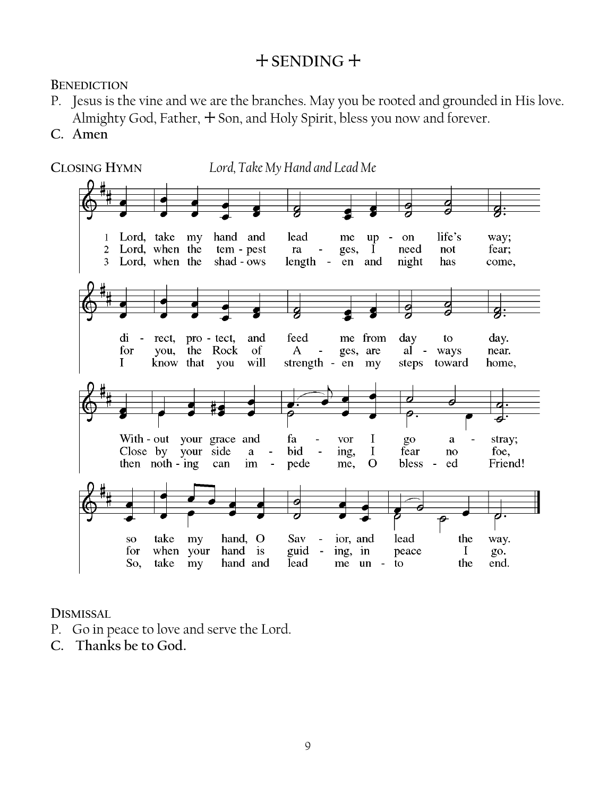# + **SENDING** +

**BENEDICTION**

- P. Jesus is the vine and we are the branches. May you be rooted and grounded in His love. Almighty God, Father,  $+$  Son, and Holy Spirit, bless you now and forever.
- **C. Amen**



**DISMISSAL** 

- P. Go in peace to love and serve the Lord.
- **C. Thanks be to God.**